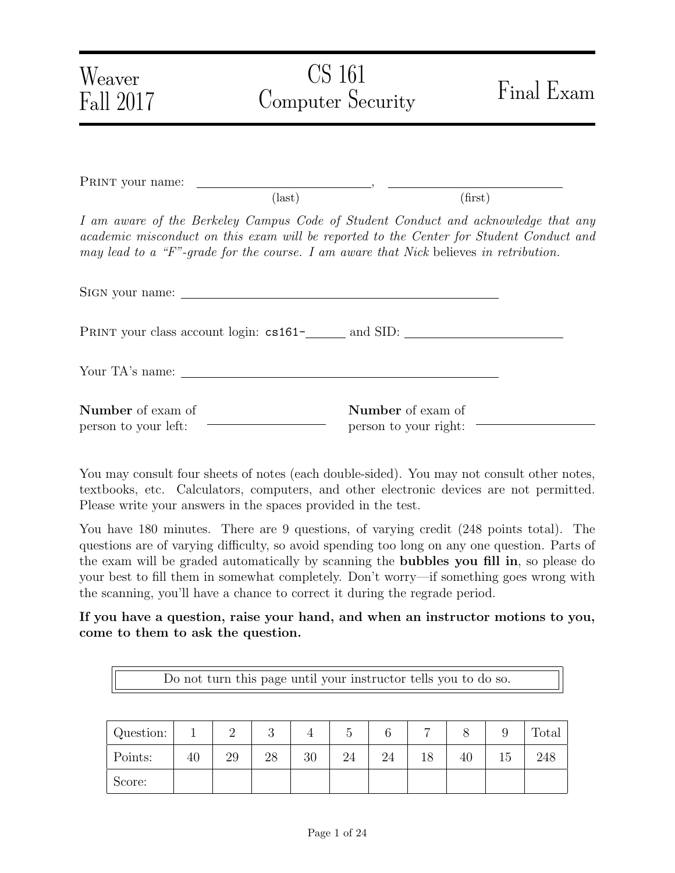| Weaver<br>Fall 2017                              | CS 161<br><b>Computer Security</b>                                                    | Final Exam                                                                                                                                                                    |
|--------------------------------------------------|---------------------------------------------------------------------------------------|-------------------------------------------------------------------------------------------------------------------------------------------------------------------------------|
|                                                  |                                                                                       |                                                                                                                                                                               |
|                                                  | $\text{(last)}$                                                                       | (first)                                                                                                                                                                       |
|                                                  | may lead to a "F"-grade for the course. I am aware that Nick believes in retribution. | I am aware of the Berkeley Campus Code of Student Conduct and acknowledge that any<br>academic misconduct on this exam will be reported to the Center for Student Conduct and |
|                                                  |                                                                                       |                                                                                                                                                                               |
|                                                  |                                                                                       |                                                                                                                                                                               |
|                                                  |                                                                                       |                                                                                                                                                                               |
| <b>Number</b> of exam of<br>person to your left: | Number of exam of<br>person to your right:                                            |                                                                                                                                                                               |

You may consult four sheets of notes (each double-sided). You may not consult other notes, textbooks, etc. Calculators, computers, and other electronic devices are not permitted. Please write your answers in the spaces provided in the test.

You have 180 minutes. There are 9 questions, of varying credit (248 points total). The questions are of varying difficulty, so avoid spending too long on any one question. Parts of the exam will be graded automatically by scanning the bubbles you fill in, so please do your best to fill them in somewhat completely. Don't worry—if something goes wrong with the scanning, you'll have a chance to correct it during the regrade period.

If you have a question, raise your hand, and when an instructor motions to you, come to them to ask the question.

Do not turn this page until your instructor tells you to do so.

| Question: |    | ↵  | $\Omega$<br>U |    |    |    |    |    | <b>Total</b> |
|-----------|----|----|---------------|----|----|----|----|----|--------------|
| Points:   | 40 | 29 | 28            | 30 | 24 | 24 | 18 | 40 | 248          |
| Score:    |    |    |               |    |    |    |    |    |              |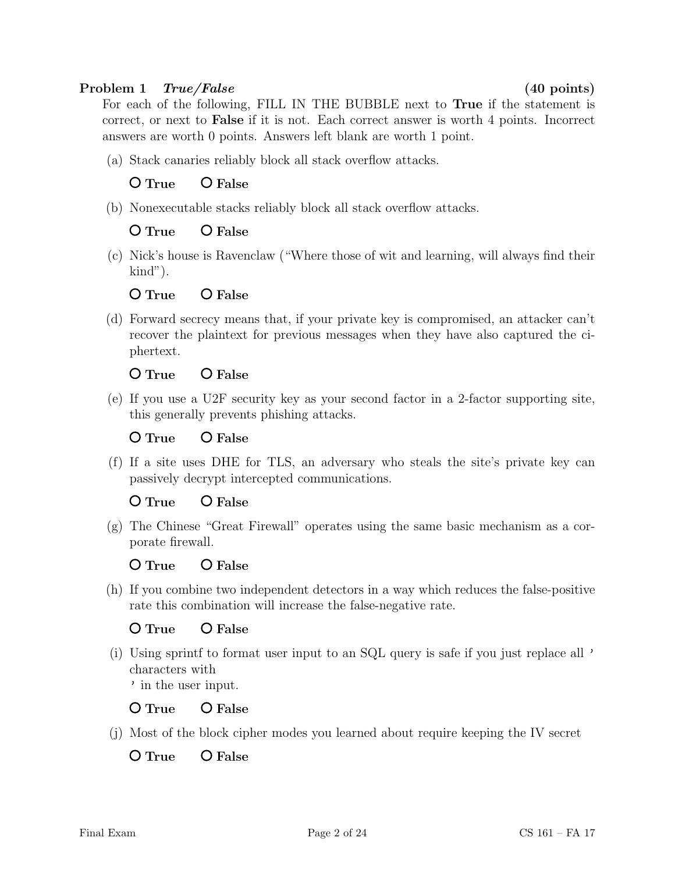## Problem 1 True/False (40 points)

For each of the following, FILL IN THE BUBBLE next to True if the statement is correct, or next to False if it is not. Each correct answer is worth 4 points. Incorrect answers are worth 0 points. Answers left blank are worth 1 point.

(a) Stack canaries reliably block all stack overflow attacks.

# O True O False

(b) Nonexecutable stacks reliably block all stack overflow attacks.

# O True O False

(c) Nick's house is Ravenclaw ("Where those of wit and learning, will always find their kind").

## O True O False

(d) Forward secrecy means that, if your private key is compromised, an attacker can't recover the plaintext for previous messages when they have also captured the ciphertext.

# O True O False

(e) If you use a U2F security key as your second factor in a 2-factor supporting site, this generally prevents phishing attacks.

# O True O False

(f) If a site uses DHE for TLS, an adversary who steals the site's private key can passively decrypt intercepted communications.

# O True O False

(g) The Chinese "Great Firewall" operates using the same basic mechanism as a corporate firewall.

# O True O False

(h) If you combine two independent detectors in a way which reduces the false-positive rate this combination will increase the false-negative rate.

# O True O False

(i) Using sprintf to format user input to an SQL query is safe if you just replace all ' characters with ' in the user input.

O True O False

(j) Most of the block cipher modes you learned about require keeping the IV secret

O True O False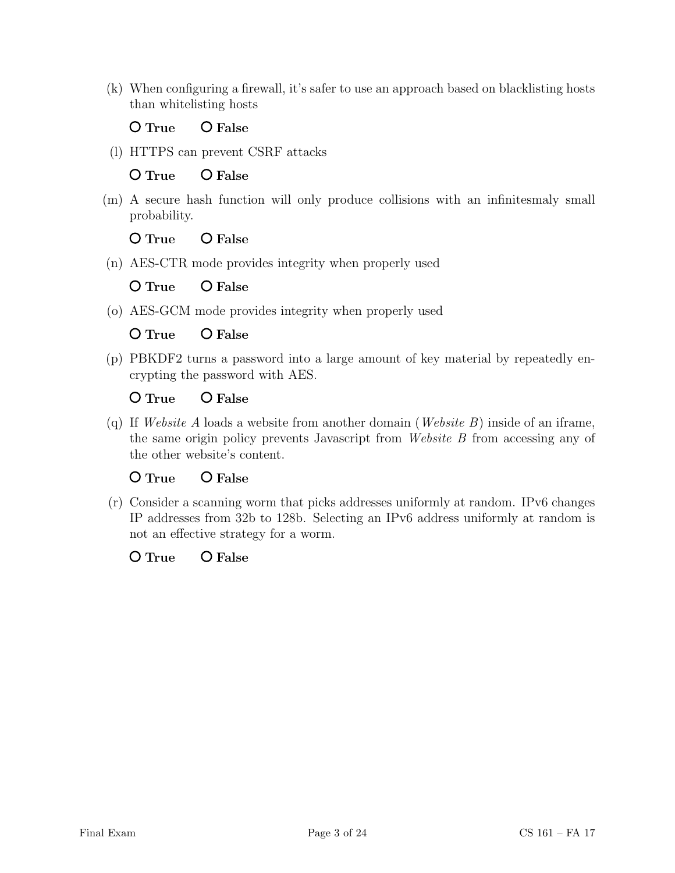(k) When configuring a firewall, it's safer to use an approach based on blacklisting hosts than whitelisting hosts

O True O False

(l) HTTPS can prevent CSRF attacks

O True O False

(m) A secure hash function will only produce collisions with an infinitesmaly small probability.

O True O False

(n) AES-CTR mode provides integrity when properly used

O True O False

(o) AES-GCM mode provides integrity when properly used

O True O False

(p) PBKDF2 turns a password into a large amount of key material by repeatedly encrypting the password with AES.

O True O False

(q) If Website A loads a website from another domain (Website B) inside of an iframe, the same origin policy prevents Javascript from Website B from accessing any of the other website's content.

O True O False

(r) Consider a scanning worm that picks addresses uniformly at random. IPv6 changes IP addresses from 32b to 128b. Selecting an IPv6 address uniformly at random is not an effective strategy for a worm.

O True O False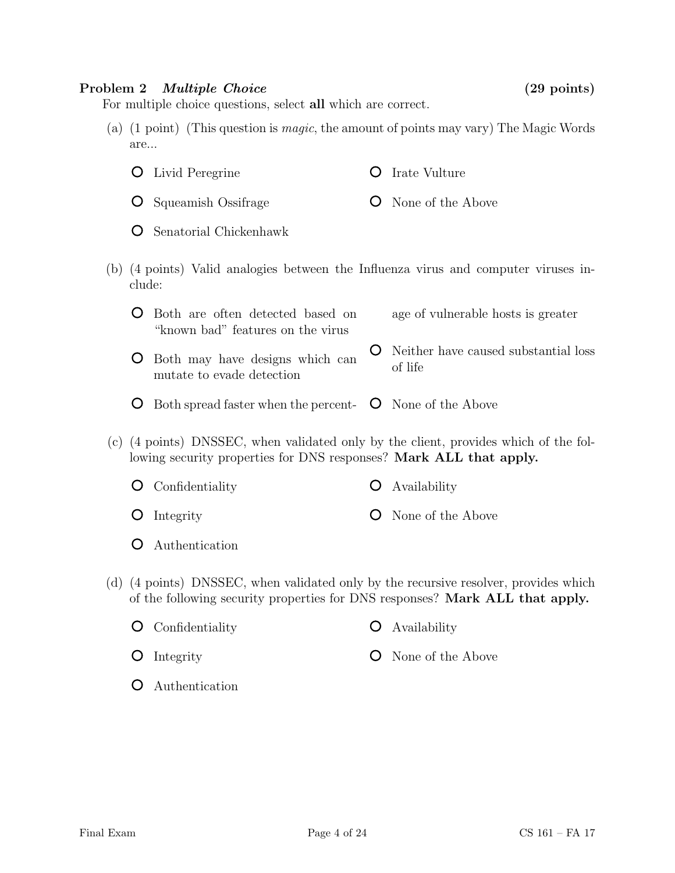### Problem 2 *Multiple Choice* (29 points)

For multiple choice questions, select all which are correct.

(a) (1 point) (This question is magic, the amount of points may vary) The Magic Words are...

| <b>O</b> Livid Peregrine        | <b>O</b> Irate Vulture     |
|---------------------------------|----------------------------|
| <b>O</b> Squeamish Ossifrage    | <b>O</b> None of the Above |
| <b>O</b> Senatorial Chickenhawk |                            |

(b) (4 points) Valid analogies between the Influenza virus and computer viruses include:

| <b>O</b> Both are often detected based on<br>"known bad" features on the virus" | age of vulnerable hosts is greater                       |
|---------------------------------------------------------------------------------|----------------------------------------------------------|
| <b>O</b> Both may have designs which can<br>mutate to evade detection           | <b>O</b> Neither have caused substantial loss<br>of life |

- Both spread faster when the percent-  $\bullet$  None of the Above
- (c) (4 points) DNSSEC, when validated only by the client, provides which of the following security properties for DNS responses? Mark ALL that apply.

| $\bullet$ Confidentiality | $\bullet$ Availability     |
|---------------------------|----------------------------|
| $\bullet$ Integrity       | <b>O</b> None of the Above |

- Authentication
- (d) (4 points) DNSSEC, when validated only by the recursive resolver, provides which of the following security properties for DNS responses? Mark ALL that apply.

| <b>O</b> Confidentiality | <b>O</b> Availability      |
|--------------------------|----------------------------|
| $\overline{O}$ Integrity | <b>O</b> None of the Above |
| <b>O</b> Authentication  |                            |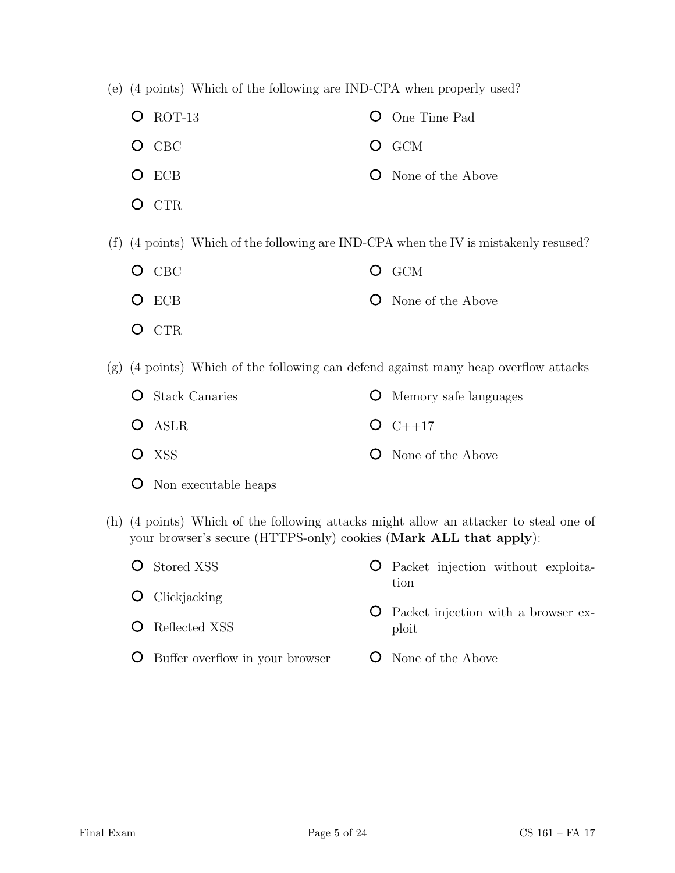- (e) (4 points) Which of the following are IND-CPA when properly used?
	- **O** ROT-13 O CBC O ECB One Time Pad O GCM None of the Above
	- O CTR

(f) (4 points) Which of the following are IND-CPA when the IV is mistakenly resused?

- O CBC O ECB O GCM **O** None of the Above
- O CTR

(g) (4 points) Which of the following can defend against many heap overflow attacks

| <b>O</b> Stack Canaries | <b>O</b> Memory safe languages |
|-------------------------|--------------------------------|
| O ASLR                  | $O C++17$                      |
| O XSS                   | <b>O</b> None of the Above     |

- Non executable heaps
- (h) (4 points) Which of the following attacks might allow an attacker to steal one of your browser's secure (HTTPS-only) cookies (Mark ALL that apply):
	- **O** Stored XSS **O** Clickjacking Packet injection without exploitation Packet injection with a browser ex-

ploit

- **O** Reflected XSS
- Buffer overflow in your browser **O** None of the Above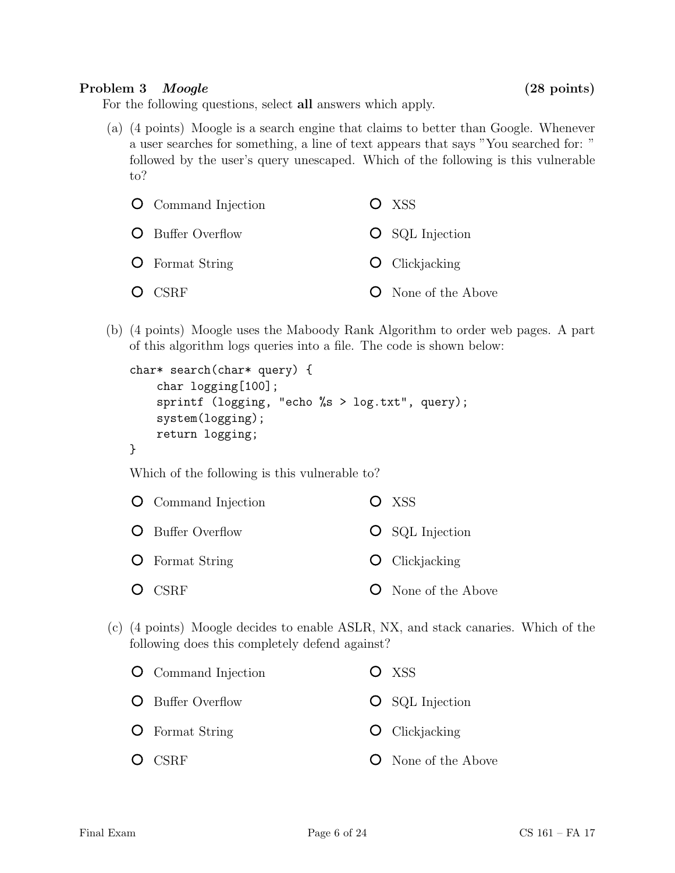## Problem 3 Moogle (28 points)

For the following questions, select all answers which apply.

(a) (4 points) Moogle is a search engine that claims to better than Google. Whenever a user searches for something, a line of text appears that says "You searched for: " followed by the user's query unescaped. Which of the following is this vulnerable to?

| <b>O</b> Command Injection | $O$ XSS                    |
|----------------------------|----------------------------|
| <b>O</b> Buffer Overflow   | <b>O</b> SQL Injection     |
| <b>O</b> Format String     | $\bullet$ Clickjacking     |
| $O$ CSRF                   | <b>O</b> None of the Above |

(b) (4 points) Moogle uses the Maboody Rank Algorithm to order web pages. A part of this algorithm logs queries into a file. The code is shown below:

```
char* search(char* query) {
    char logging[100];
    sprintf (logging, "echo %s > log.txt", query);
    system(logging);
    return logging;
}
```
Which of the following is this vulnerable to?

| <b>O</b> Command Injection | $O$ XSS                    |
|----------------------------|----------------------------|
| <b>O</b> Buffer Overflow   | <b>O</b> SQL Injection     |
| <b>O</b> Format String     | $\bullet$ Clickjacking     |
| $O$ CSRF                   | <b>O</b> None of the Above |

(c) (4 points) Moogle decides to enable ASLR, NX, and stack canaries. Which of the following does this completely defend against?

| <b>O</b> Command Injection | O XSS                      |
|----------------------------|----------------------------|
| <b>O</b> Buffer Overflow   | <b>O</b> SQL Injection     |
| <b>O</b> Format String     | $\bullet$ Clickjacking     |
| $O$ CSRF                   | <b>O</b> None of the Above |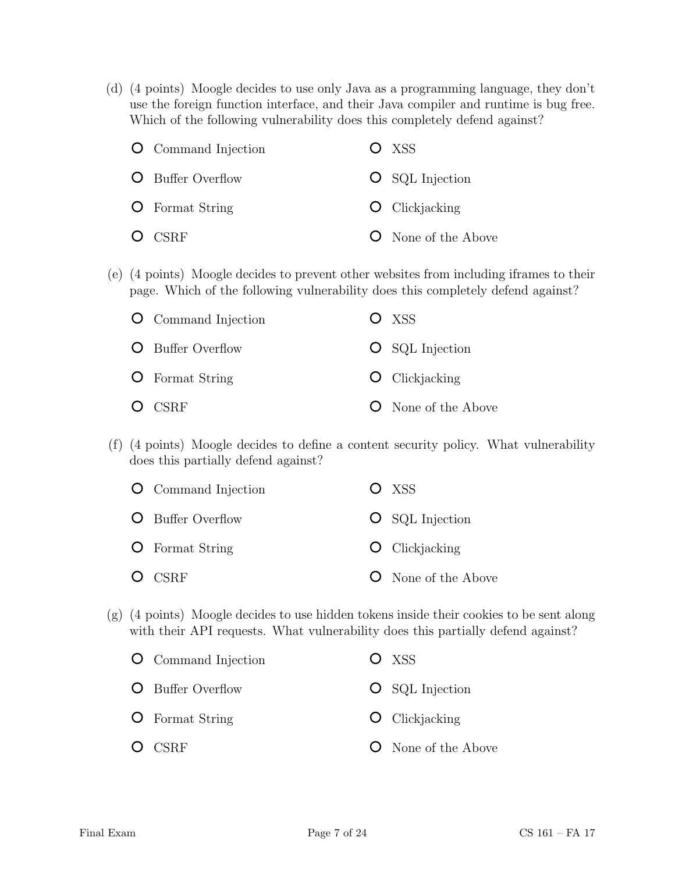(d) (4 points) Moogle decides to use only Java as a programming language, they don't use the foreign function interface, and their Java compiler and runtime is bug free. Which of the following vulnerability does this completely defend against?

| <b>O</b> Command Injection | $O$ XSS                     |
|----------------------------|-----------------------------|
| <b>O</b> Buffer Overflow   | <b>O</b> SQL Injection      |
| <b>O</b> Format String     | $\overline{O}$ Clickjacking |
| $O$ CSRF                   | <b>O</b> None of the Above  |

(e) (4 points) Moogle decides to prevent other websites from including iframes to their page. Which of the following vulnerability does this completely defend against?

| <b>O</b> Command Injection | O XSS                       |
|----------------------------|-----------------------------|
| <b>O</b> Buffer Overflow   | <b>O</b> SQL Injection      |
| <b>O</b> Format String     | $\overline{O}$ Clickjacking |
| $O$ CSRF                   | <b>O</b> None of the Above  |

(f) (4 points) Moogle decides to define a content security policy. What vulnerability does this partially defend against?

| <b>O</b> Command Injection | $O$ XSS                    |
|----------------------------|----------------------------|
| <b>O</b> Buffer Overflow   | $\bigcirc$ SQL Injection   |
| <b>O</b> Format String     | $\bullet$ Clickjacking     |
| $O$ CSRF                   | <b>O</b> None of the Above |

(g) (4 points) Moogle decides to use hidden tokens inside their cookies to be sent along with their API requests. What vulnerability does this partially defend against?

| <b>O</b> Command Injection | O XSS                      |
|----------------------------|----------------------------|
| O Buffer Overflow          | <b>O</b> SQL Injection     |
| $\bullet$ Format String    | $\bullet$ Clickjacking     |
| $O$ CSRF                   | <b>O</b> None of the Above |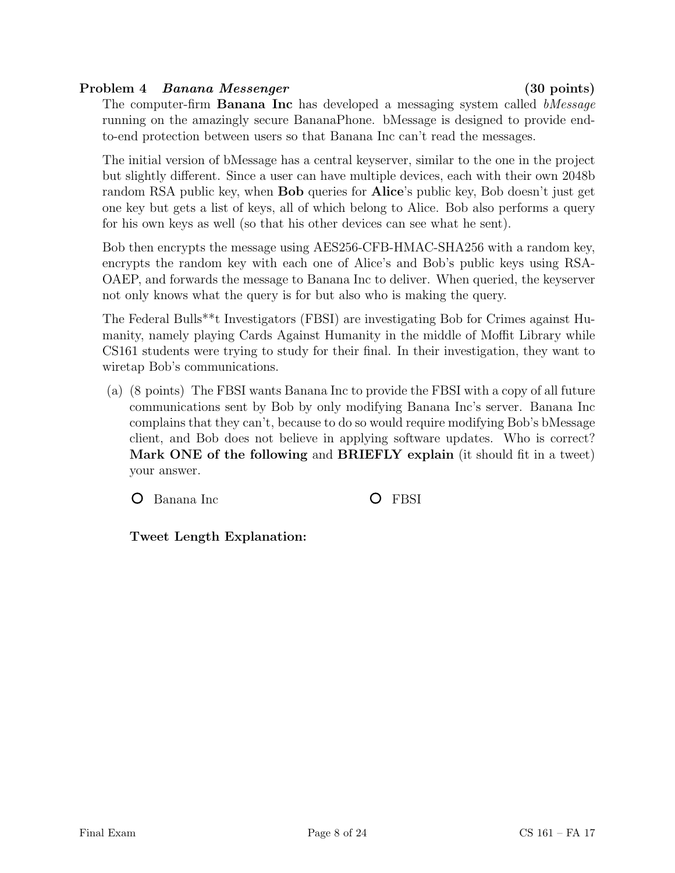## Problem 4 Banana Messenger (30 points)

The computer-firm **Banana Inc** has developed a messaging system called *bMessage* running on the amazingly secure BananaPhone. bMessage is designed to provide endto-end protection between users so that Banana Inc can't read the messages.

The initial version of bMessage has a central keyserver, similar to the one in the project but slightly different. Since a user can have multiple devices, each with their own 2048b random RSA public key, when Bob queries for Alice's public key, Bob doesn't just get one key but gets a list of keys, all of which belong to Alice. Bob also performs a query for his own keys as well (so that his other devices can see what he sent).

Bob then encrypts the message using AES256-CFB-HMAC-SHA256 with a random key, encrypts the random key with each one of Alice's and Bob's public keys using RSA-OAEP, and forwards the message to Banana Inc to deliver. When queried, the keyserver not only knows what the query is for but also who is making the query.

The Federal Bulls\*\*t Investigators (FBSI) are investigating Bob for Crimes against Humanity, namely playing Cards Against Humanity in the middle of Moffit Library while CS161 students were trying to study for their final. In their investigation, they want to wiretap Bob's communications.

(a) (8 points) The FBSI wants Banana Inc to provide the FBSI with a copy of all future communications sent by Bob by only modifying Banana Inc's server. Banana Inc complains that they can't, because to do so would require modifying Bob's bMessage client, and Bob does not believe in applying software updates. Who is correct? Mark ONE of the following and BRIEFLY explain (it should fit in a tweet) your answer.

O Banana Inc C FBSI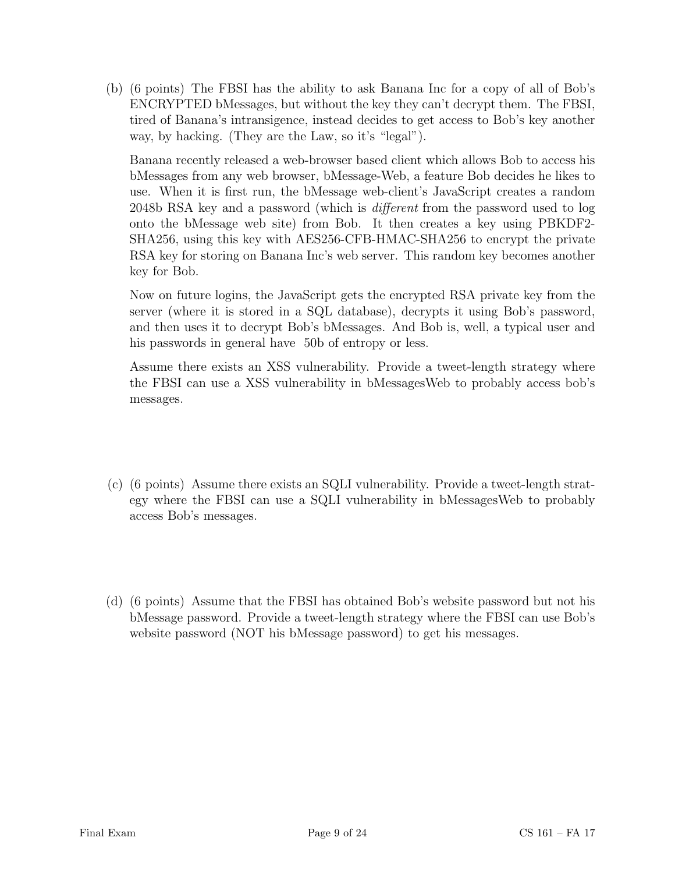(b) (6 points) The FBSI has the ability to ask Banana Inc for a copy of all of Bob's ENCRYPTED bMessages, but without the key they can't decrypt them. The FBSI, tired of Banana's intransigence, instead decides to get access to Bob's key another way, by hacking. (They are the Law, so it's "legal").

Banana recently released a web-browser based client which allows Bob to access his bMessages from any web browser, bMessage-Web, a feature Bob decides he likes to use. When it is first run, the bMessage web-client's JavaScript creates a random 2048b RSA key and a password (which is different from the password used to log onto the bMessage web site) from Bob. It then creates a key using PBKDF2- SHA256, using this key with AES256-CFB-HMAC-SHA256 to encrypt the private RSA key for storing on Banana Inc's web server. This random key becomes another key for Bob.

Now on future logins, the JavaScript gets the encrypted RSA private key from the server (where it is stored in a SQL database), decrypts it using Bob's password, and then uses it to decrypt Bob's bMessages. And Bob is, well, a typical user and his passwords in general have 50b of entropy or less.

Assume there exists an XSS vulnerability. Provide a tweet-length strategy where the FBSI can use a XSS vulnerability in bMessagesWeb to probably access bob's messages.

- (c) (6 points) Assume there exists an SQLI vulnerability. Provide a tweet-length strategy where the FBSI can use a SQLI vulnerability in bMessagesWeb to probably access Bob's messages.
- (d) (6 points) Assume that the FBSI has obtained Bob's website password but not his bMessage password. Provide a tweet-length strategy where the FBSI can use Bob's website password (NOT his bMessage password) to get his messages.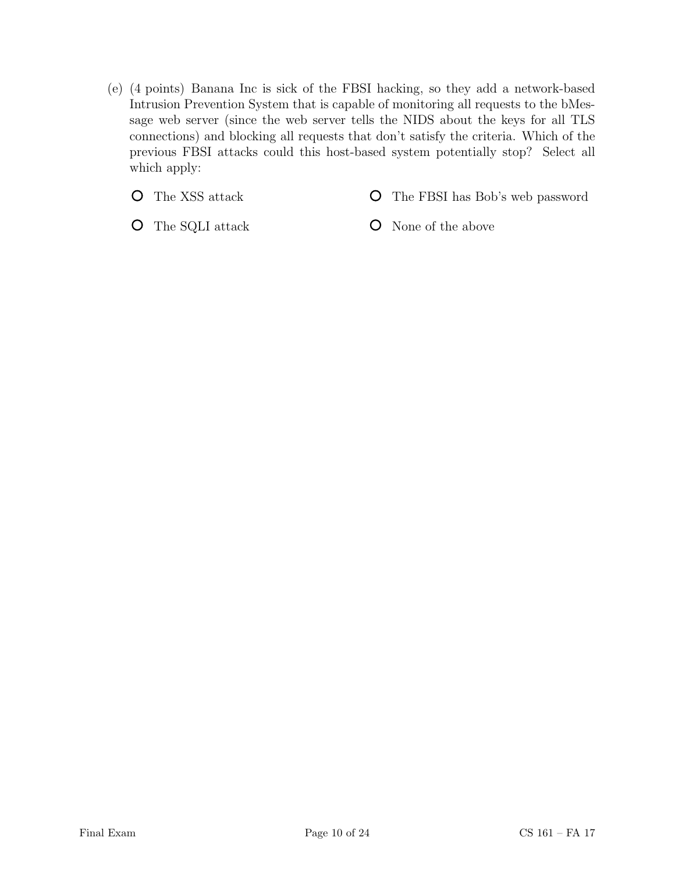(e) (4 points) Banana Inc is sick of the FBSI hacking, so they add a network-based Intrusion Prevention System that is capable of monitoring all requests to the bMessage web server (since the web server tells the NIDS about the keys for all TLS connections) and blocking all requests that don't satisfy the criteria. Which of the previous FBSI attacks could this host-based system potentially stop? Select all which apply:

The XSS attack  $\circ$ 

The FBSI has Bob's web password  $\circ$ 

The SQLI attack

None of the above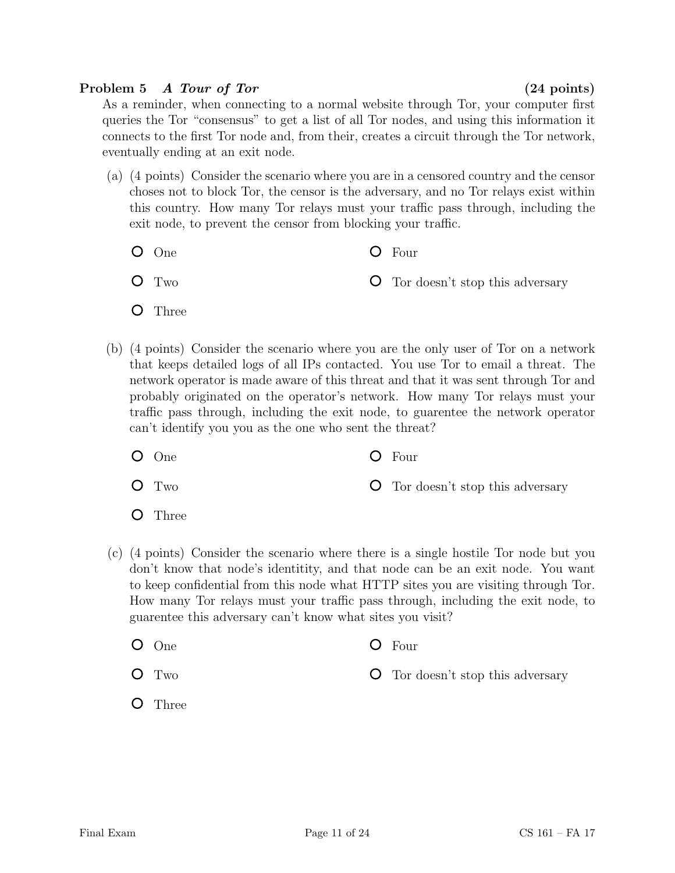## Problem 5 A Tour of Tor (24 points)

As a reminder, when connecting to a normal website through Tor, your computer first queries the Tor "consensus" to get a list of all Tor nodes, and using this information it connects to the first Tor node and, from their, creates a circuit through the Tor network, eventually ending at an exit node.

- (a) (4 points) Consider the scenario where you are in a censored country and the censor choses not to block Tor, the censor is the adversary, and no Tor relays exist within this country. How many Tor relays must your traffic pass through, including the exit node, to prevent the censor from blocking your traffic.
	- One O Two Four Tor doesn't stop this adversary
	- **O** Three
- (b) (4 points) Consider the scenario where you are the only user of Tor on a network that keeps detailed logs of all IPs contacted. You use Tor to email a threat. The network operator is made aware of this threat and that it was sent through Tor and probably originated on the operator's network. How many Tor relays must your traffic pass through, including the exit node, to guarentee the network operator can't identify you you as the one who sent the threat?
	- One  $O$  Four
	- $O$  Two Tor doesn't stop this adversary
	- $\circ$ Three
- (c) (4 points) Consider the scenario where there is a single hostile Tor node but you don't know that node's identitity, and that node can be an exit node. You want to keep confidential from this node what HTTP sites you are visiting through Tor. How many Tor relays must your traffic pass through, including the exit node, to guarentee this adversary can't know what sites you visit?
	- One  $O$  Four
	- O Two Tor doesn't stop this adversary
	- **O** Three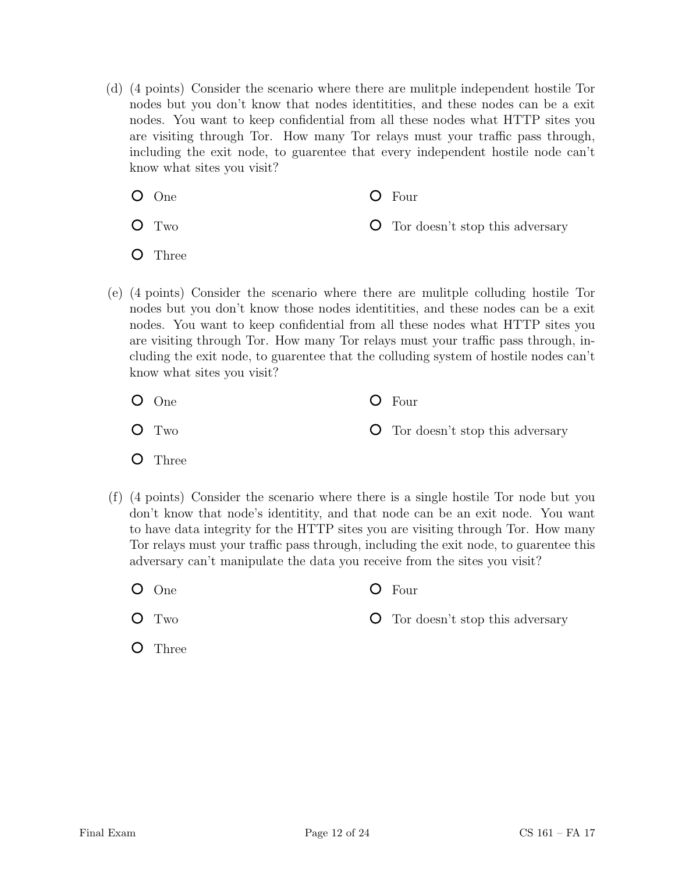- (d) (4 points) Consider the scenario where there are mulitple independent hostile Tor nodes but you don't know that nodes identitities, and these nodes can be a exit nodes. You want to keep confidential from all these nodes what HTTP sites you are visiting through Tor. How many Tor relays must your traffic pass through, including the exit node, to guarentee that every independent hostile node can't know what sites you visit?
	- One

Four

O Two

Tor doesn't stop this adversary

- $\circ$ Three
- (e) (4 points) Consider the scenario where there are mulitple colluding hostile Tor nodes but you don't know those nodes identitities, and these nodes can be a exit nodes. You want to keep confidential from all these nodes what HTTP sites you are visiting through Tor. How many Tor relays must your traffic pass through, including the exit node, to guarentee that the colluding system of hostile nodes can't know what sites you visit?
	- One Four
	- O Two Tor doesn't stop this adversary
	- **O** Three
- (f) (4 points) Consider the scenario where there is a single hostile Tor node but you don't know that node's identitity, and that node can be an exit node. You want to have data integrity for the HTTP sites you are visiting through Tor. How many Tor relays must your traffic pass through, including the exit node, to guarentee this adversary can't manipulate the data you receive from the sites you visit?
	- One Four
		- Tor doesn't stop this adversary
	- **O** Three

Two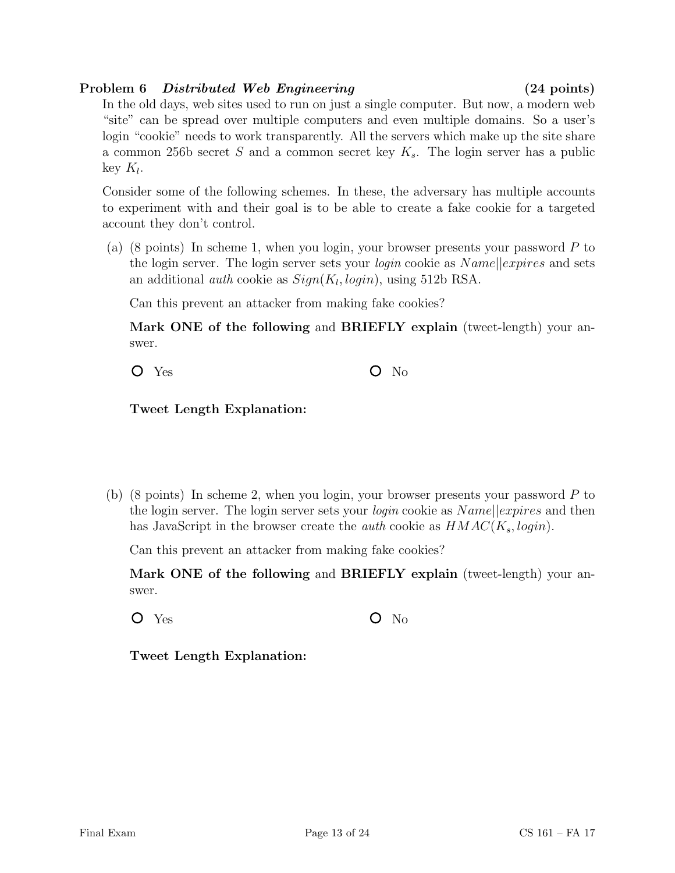## Problem 6 Distributed Web Engineering (24 points)

In the old days, web sites used to run on just a single computer. But now, a modern web "site" can be spread over multiple computers and even multiple domains. So a user's login "cookie" needs to work transparently. All the servers which make up the site share a common 256b secret S and a common secret key  $K_s$ . The login server has a public key  $K_l$ .

Consider some of the following schemes. In these, the adversary has multiple accounts to experiment with and their goal is to be able to create a fake cookie for a targeted account they don't control.

(a) (8 points) In scheme 1, when you login, your browser presents your password P to the login server. The login server sets your *login* cookie as  $Name||express$  and sets an additional *auth* cookie as  $Sign(K_l, login)$ , using 512b RSA.

Can this prevent an attacker from making fake cookies?

Mark ONE of the following and BRIEFLY explain (tweet-length) your answer.

 $O$  Yes  $O$  No.

Tweet Length Explanation:

(b) (8 points) In scheme 2, when you login, your browser presents your password P to the login server. The login server sets your *login* cookie as  $Name||express$  and then has JavaScript in the browser create the *auth* cookie as  $HMAC(K_s, login)$ .

Can this prevent an attacker from making fake cookies?

Mark ONE of the following and BRIEFLY explain (tweet-length) your answer.

 $O$  Yes  $O$  No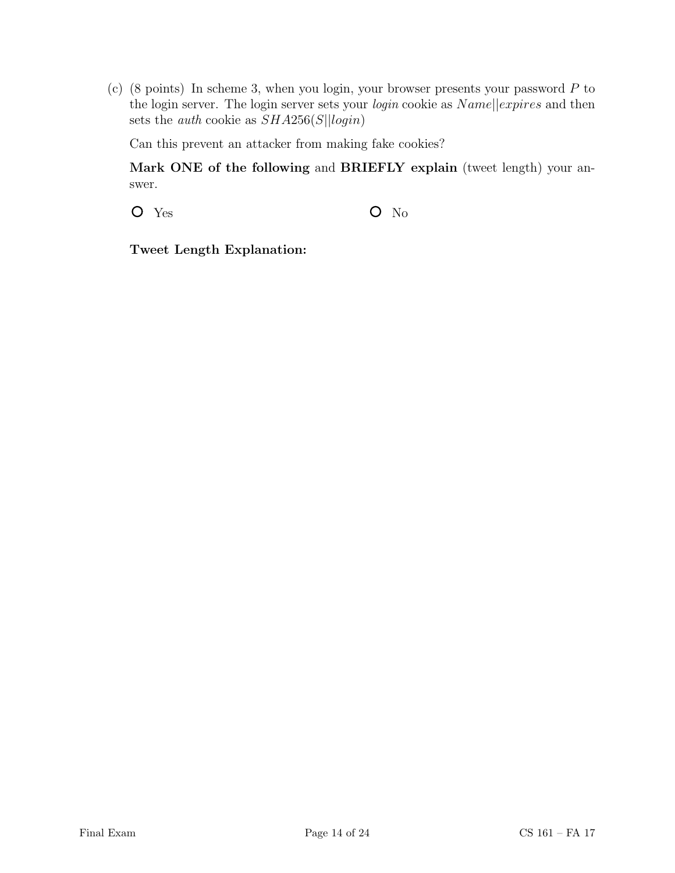(c) (8 points) In scheme 3, when you login, your browser presents your password P to the login server. The login server sets your *login* cookie as  $Name||express$  and then sets the *auth* cookie as  $SHA256(S||login)$ 

Can this prevent an attacker from making fake cookies?

Mark ONE of the following and BRIEFLY explain (tweet length) your answer.

 $O$  Yes  $O$  No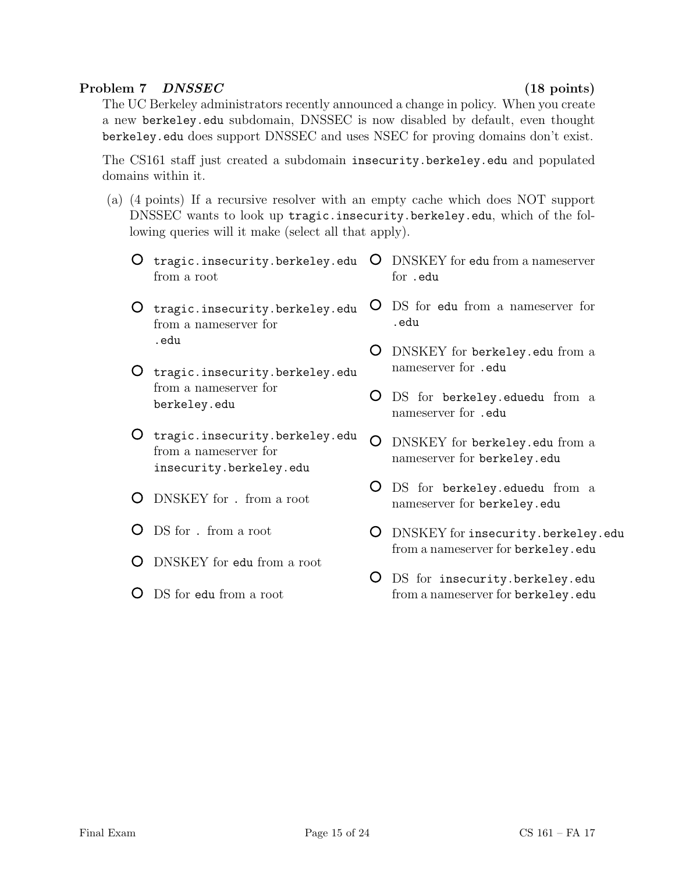# Problem 7 DNSSEC (18 points)

The UC Berkeley administrators recently announced a change in policy. When you create a new berkeley.edu subdomain, DNSSEC is now disabled by default, even thought berkeley.edu does support DNSSEC and uses NSEC for proving domains don't exist.

The CS161 staff just created a subdomain insecurity.berkeley.edu and populated domains within it.

- (a) (4 points) If a recursive resolver with an empty cache which does NOT support DNSSEC wants to look up tragic.insecurity.berkeley.edu, which of the following queries will it make (select all that apply).
	- tragic.insecurity.berkeley.edu  $\rm O~DNSKEY$  for edu from a nameserver from a root for .edu
	- O tragic.insecurity.berkeley.edu from a nameserver for .edu
	- O tragic.insecurity.berkeley.edu from a nameserver for berkeley.edu
	- O tragic.insecurity.berkeley.edu from a nameserver for insecurity.berkeley.edu
	- DNSKEY for . from a root
	- DS for . from a root
	- DNSKEY for edu from a root
	- DS for edu from a root
- DS for edu from a nameserver for .edu
- DNSKEY for berkeley.edu from a nameserver for .edu
- DS for berkeley.eduedu from a nameserver for .edu
- DNSKEY for berkeley.edu from a nameserver for berkeley.edu
- DS for berkeley.eduedu from a nameserver for berkeley.edu
- DNSKEY for insecurity.berkeley.edu from a nameserver for berkeley.edu
- DS for insecurity.berkeley.edu from a nameserver for berkeley.edu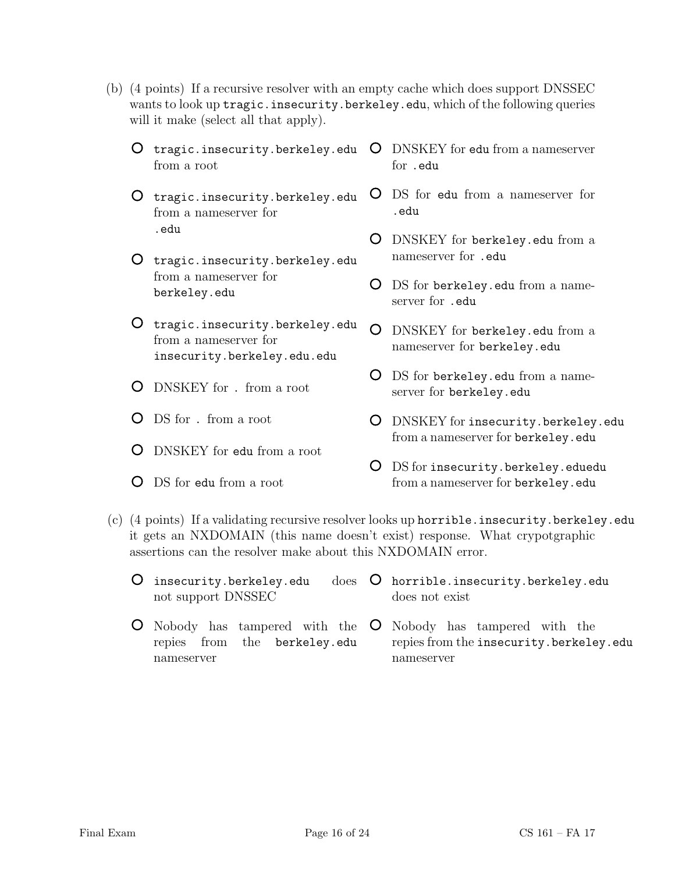- (b) (4 points) If a recursive resolver with an empty cache which does support DNSSEC wants to look up tragic.insecurity.berkeley.edu, which of the following queries will it make (select all that apply).
	- O tragic.insecurity.berkeley.edu from a root for .edu
	- O tragic.insecurity.berkeley.edu from a nameserver for .edu
	- O tragic.insecurity.berkeley.edu from a nameserver for berkeley.edu
	- O tragic.insecurity.berkeley.edu from a nameserver for insecurity.berkeley.edu.edu
	- DNSKEY for . from a root
	- DS for . from a root
	- DNSKEY for edu from a root
	- DS for edu from a root
- DNSKEY for edu from a nameserver
- DS for edu from a nameserver for .edu
- DNSKEY for berkeley.edu from a nameserver for .edu
- O DS for berkeley.edu from a nameserver for .edu
- DNSKEY for berkeley.edu from a nameserver for berkeley.edu
- O DS for berkeley.edu from a nameserver for berkeley.edu
- DNSKEY for insecurity.berkeley.edu from a nameserver for berkeley.edu
- O DS for insecurity.berkeley.eduedu from a nameserver for berkeley.edu
- (c) (4 points) If a validating recursive resolver looks up horrible.insecurity.berkeley.edu it gets an NXDOMAIN (this name doesn't exist) response. What crypotgraphic assertions can the resolver make about this NXDOMAIN error.
	- $O$  insecurity.berkeley.edu not support DNSSEC does O horrible.insecurity.berkeley.edu does not exist
	- Nobody has tampered with the Nobody has tampered with the  $\cup$ repies from the berkeley.edu repies from the insecurity.berkeley.edu nameserver nameserver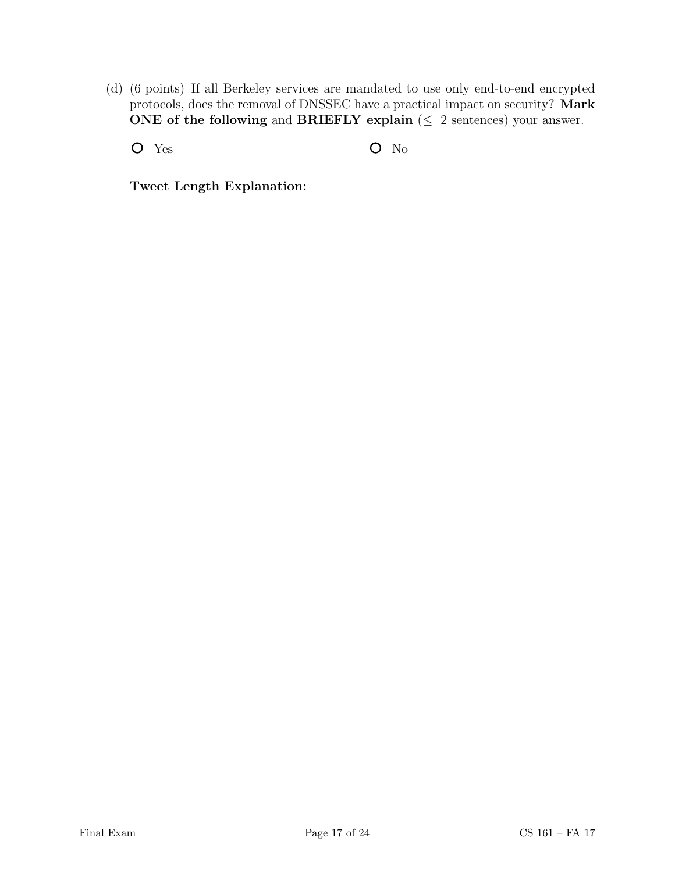(d) (6 points) If all Berkeley services are mandated to use only end-to-end encrypted protocols, does the removal of DNSSEC have a practical impact on security? Mark ONE of the following and BRIEFLY explain ( $\leq 2$  sentences) your answer.

O Yes O No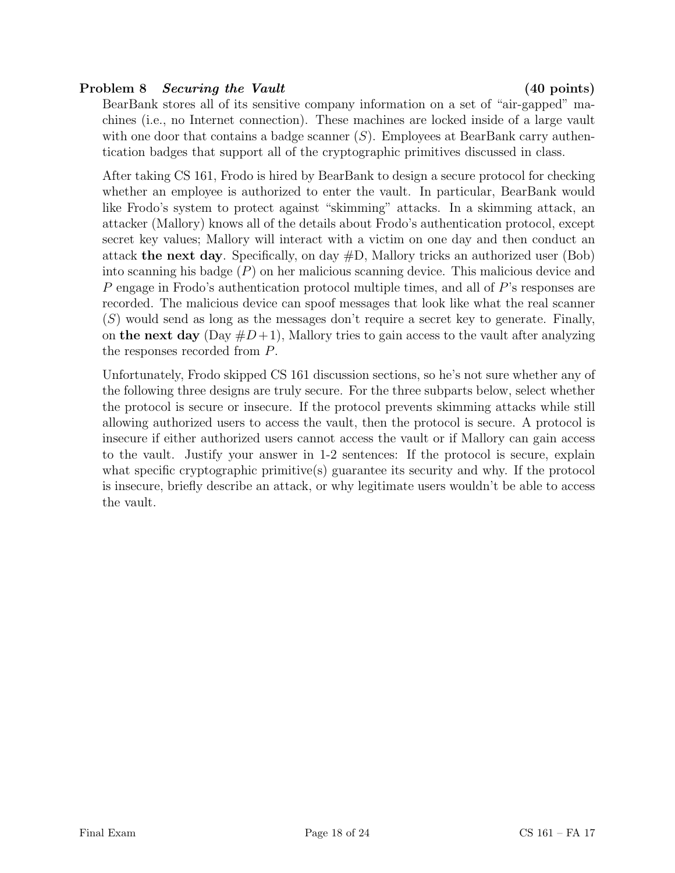# Problem 8 Securing the Vault (40 points)

BearBank stores all of its sensitive company information on a set of "air-gapped" machines (i.e., no Internet connection). These machines are locked inside of a large vault with one door that contains a badge scanner  $(S)$ . Employees at BearBank carry authentication badges that support all of the cryptographic primitives discussed in class.

After taking CS 161, Frodo is hired by BearBank to design a secure protocol for checking whether an employee is authorized to enter the vault. In particular, BearBank would like Frodo's system to protect against "skimming" attacks. In a skimming attack, an attacker (Mallory) knows all of the details about Frodo's authentication protocol, except secret key values; Mallory will interact with a victim on one day and then conduct an attack the next day. Specifically, on day  $#D$ , Mallory tricks an authorized user (Bob) into scanning his badge (P) on her malicious scanning device. This malicious device and P engage in Frodo's authentication protocol multiple times, and all of P's responses are recorded. The malicious device can spoof messages that look like what the real scanner  $(S)$  would send as long as the messages don't require a secret key to generate. Finally, on the next day  $(Day \#D+1)$ , Mallory tries to gain access to the vault after analyzing the responses recorded from P.

Unfortunately, Frodo skipped CS 161 discussion sections, so he's not sure whether any of the following three designs are truly secure. For the three subparts below, select whether the protocol is secure or insecure. If the protocol prevents skimming attacks while still allowing authorized users to access the vault, then the protocol is secure. A protocol is insecure if either authorized users cannot access the vault or if Mallory can gain access to the vault. Justify your answer in 1-2 sentences: If the protocol is secure, explain what specific cryptographic primitive(s) guarantee its security and why. If the protocol is insecure, briefly describe an attack, or why legitimate users wouldn't be able to access the vault.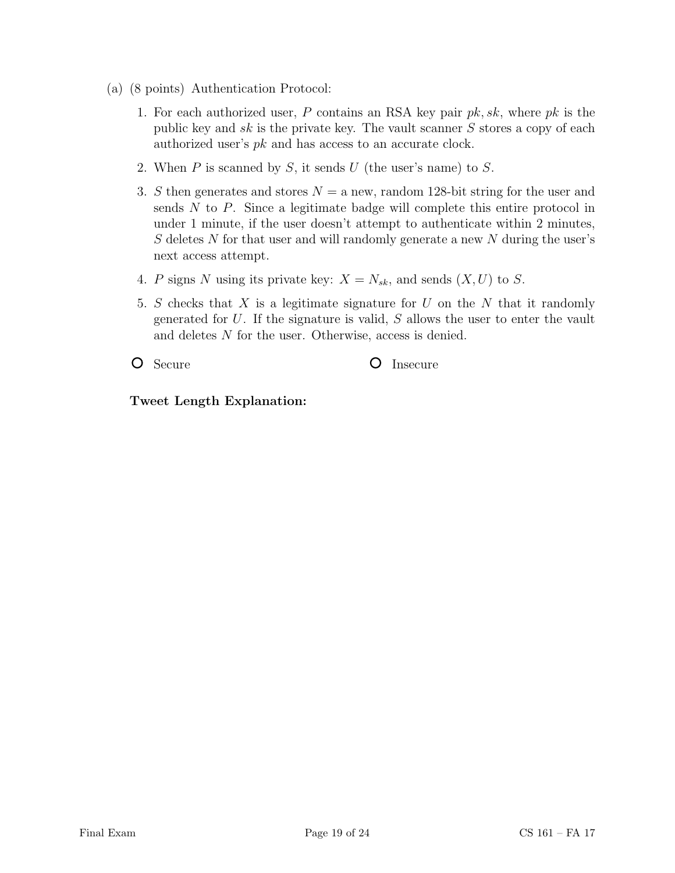- (a) (8 points) Authentication Protocol:
	- 1. For each authorized user, P contains an RSA key pair  $pk, sk$ , where  $pk$  is the public key and sk is the private key. The vault scanner  $S$  stores a copy of each authorized user's pk and has access to an accurate clock.
	- 2. When  $P$  is scanned by  $S$ , it sends  $U$  (the user's name) to  $S$ .
	- 3. S then generates and stores  $N = a$  new, random 128-bit string for the user and sends  $N$  to  $P$ . Since a legitimate badge will complete this entire protocol in under 1 minute, if the user doesn't attempt to authenticate within 2 minutes, S deletes N for that user and will randomly generate a new N during the user's next access attempt.
	- 4. P signs N using its private key:  $X = N_{sk}$ , and sends  $(X, U)$  to S.
	- 5. S checks that X is a legitimate signature for  $U$  on the  $N$  that it randomly generated for  $U$ . If the signature is valid,  $S$  allows the user to enter the vault and deletes N for the user. Otherwise, access is denied.

O Secure C Insecure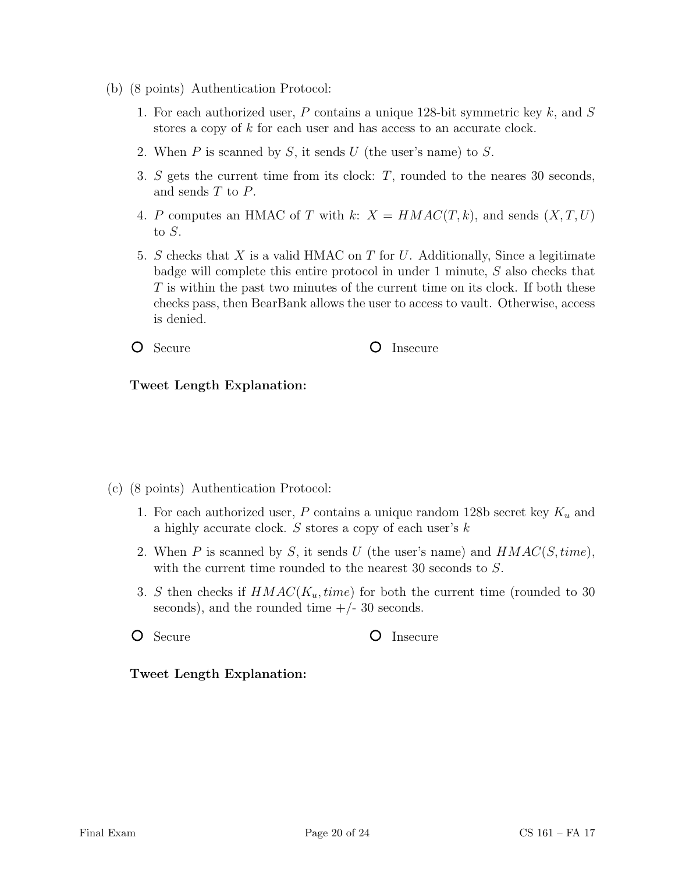- (b) (8 points) Authentication Protocol:
	- 1. For each authorized user,  $P$  contains a unique 128-bit symmetric key  $k$ , and  $S$ stores a copy of k for each user and has access to an accurate clock.
	- 2. When  $P$  is scanned by  $S$ , it sends  $U$  (the user's name) to  $S$ .
	- 3. S gets the current time from its clock: T, rounded to the neares 30 seconds, and sends T to P.
	- 4. P computes an HMAC of T with k:  $X = HMAC(T, k)$ , and sends  $(X, T, U)$ to S.
	- 5. S checks that  $X$  is a valid HMAC on  $T$  for  $U$ . Additionally, Since a legitimate badge will complete this entire protocol in under 1 minute, S also checks that T is within the past two minutes of the current time on its clock. If both these checks pass, then BearBank allows the user to access to vault. Otherwise, access is denied.

O Secure **O** Insecure

## Tweet Length Explanation:

- (c) (8 points) Authentication Protocol:
	- 1. For each authorized user, P contains a unique random 128b secret key  $K_u$  and a highly accurate clock. S stores a copy of each user's k
	- 2. When P is scanned by S, it sends U (the user's name) and  $HMAC(S, time)$ , with the current time rounded to the nearest 30 seconds to  $S$ .
	- 3. S then checks if  $HMAC(K_u, time)$  for both the current time (rounded to 30 seconds), and the rounded time  $+/- 30$  seconds.
	-

O Secure **O** Insecure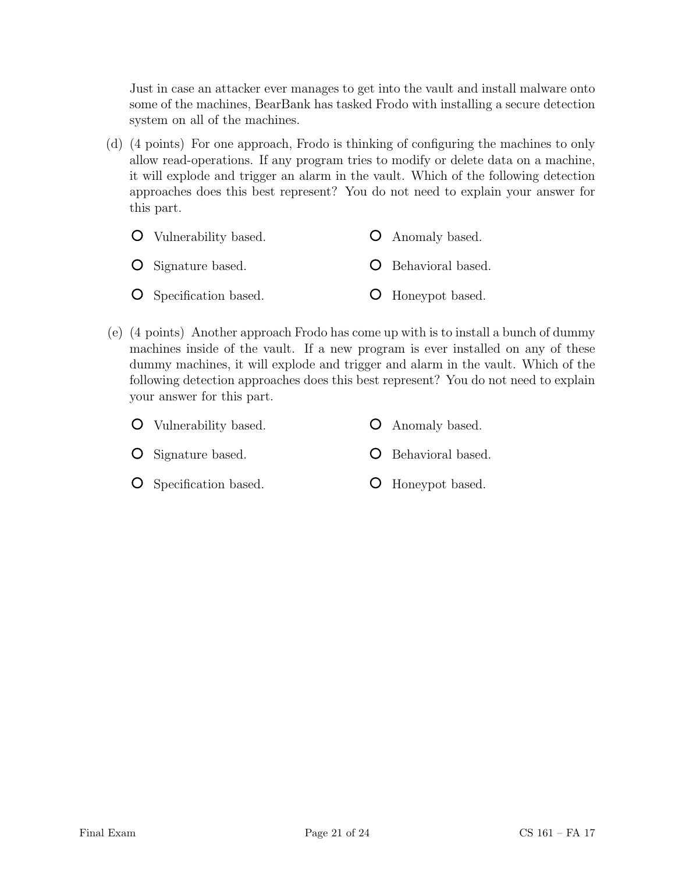Just in case an attacker ever manages to get into the vault and install malware onto some of the machines, BearBank has tasked Frodo with installing a secure detection system on all of the machines.

(d) (4 points) For one approach, Frodo is thinking of configuring the machines to only allow read-operations. If any program tries to modify or delete data on a machine, it will explode and trigger an alarm in the vault. Which of the following detection approaches does this best represent? You do not need to explain your answer for this part.

| <b>O</b> Vulnerability based. | <b>O</b> Anomaly based.    |
|-------------------------------|----------------------------|
| <b>O</b> Signature based.     | <b>O</b> Behavioral based. |
| <b>O</b> Specification based. | <b>O</b> Honeypot based.   |

(e) (4 points) Another approach Frodo has come up with is to install a bunch of dummy machines inside of the vault. If a new program is ever installed on any of these dummy machines, it will explode and trigger and alarm in the vault. Which of the following detection approaches does this best represent? You do not need to explain your answer for this part.

| <b>O</b> Vulnerability based. | <b>O</b> Anomaly based. |  |
|-------------------------------|-------------------------|--|
|                               |                         |  |

- O Signature based. **O** Behavioral based.
- **O** Specification based.
- Honeypot based.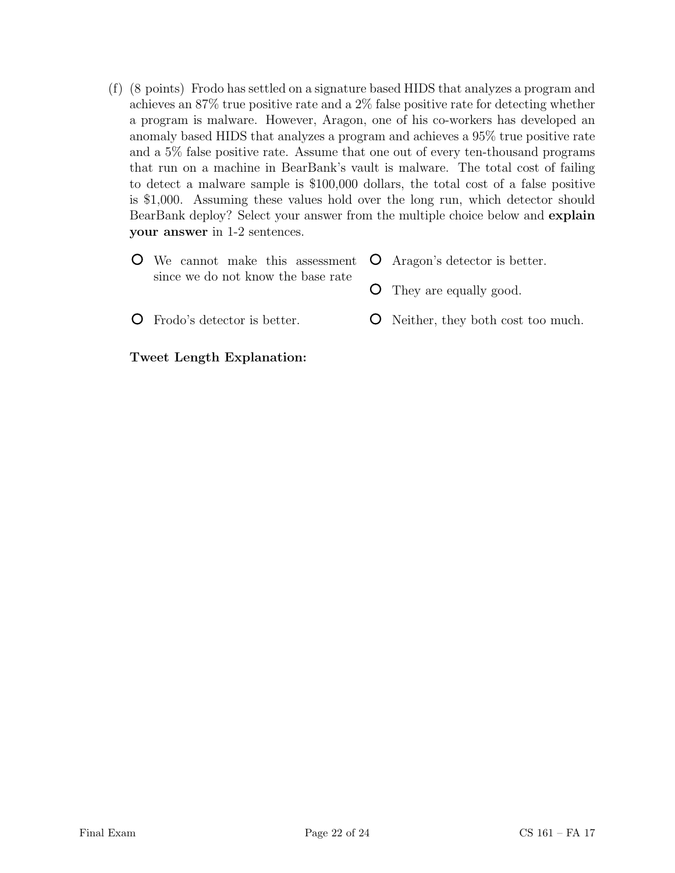(f) (8 points) Frodo has settled on a signature based HIDS that analyzes a program and achieves an 87% true positive rate and a 2% false positive rate for detecting whether a program is malware. However, Aragon, one of his co-workers has developed an anomaly based HIDS that analyzes a program and achieves a 95% true positive rate and a 5% false positive rate. Assume that one out of every ten-thousand programs that run on a machine in BearBank's vault is malware. The total cost of failing to detect a malware sample is \$100,000 dollars, the total cost of a false positive is \$1,000. Assuming these values hold over the long run, which detector should BearBank deploy? Select your answer from the multiple choice below and explain your answer in 1-2 sentences.

| $\bullet$ We cannot make this assessment $\bullet$ Aragon's detector is better. |                                            |
|---------------------------------------------------------------------------------|--------------------------------------------|
| since we do not know the base rate                                              | <b>O</b> They are equally good.            |
| <b>O</b> Frodo's detector is better.                                            | <b>O</b> Neither, they both cost too much. |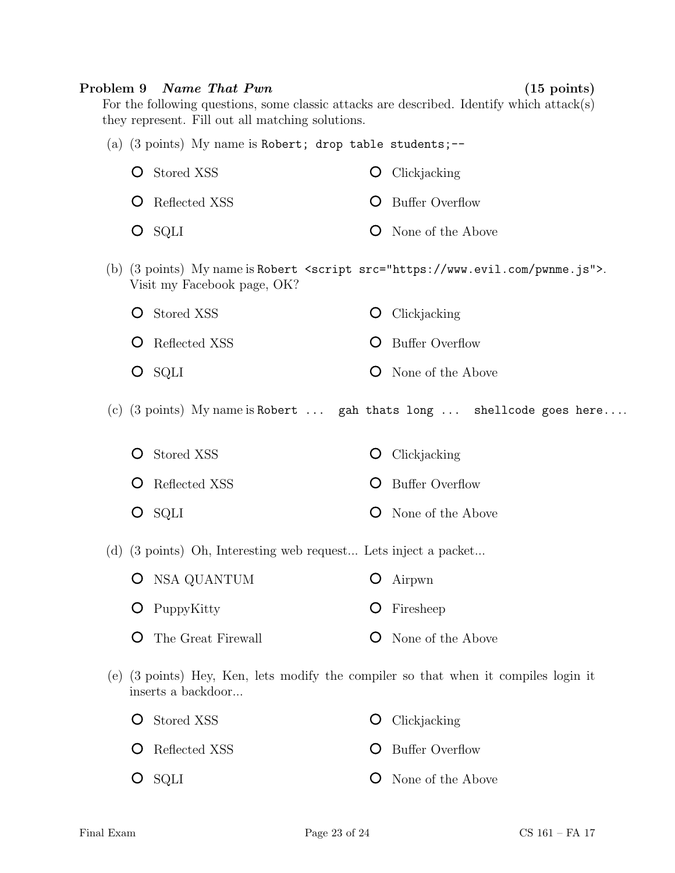#### Problem 9 Name That Pwn (15 points)

For the following questions, some classic attacks are described. Identify which attack(s) they represent. Fill out all matching solutions.

| <b>O</b> Stored XSS    | $\bullet$ Clickjacking     |
|------------------------|----------------------------|
| <b>O</b> Reflected XSS | <b>O</b> Buffer Overflow   |
| $O$ SQLI               | <b>O</b> None of the Above |

(a)  $(3 \text{ points})$  My name is Robert; drop table students;--

- (b) (3 points) My name is Robert <script src="https://www.evil.com/pwnme.js">. Visit my Facebook page, OK?
	- **O** Stored XSS **O** Reflected XSS **O** Clickjacking **O** Buffer Overflow
	- O SQLI **O** None of the Above
- (c) (3 points) My name is Robert ... gah thats long ... shellcode goes here....
	- **O** Stored XSS **O** Clickjacking
	- **O** Reflected XSS **O** Buffer Overflow
	- O SQLI **O** None of the Above

(d) (3 points) Oh, Interesting web request... Lets inject a packet...

- O NSA QUANTUM **O** PuppyKitty Airpwn Firesheep
- The Great Firewall **O** None of the Above
- (e) (3 points) Hey, Ken, lets modify the compiler so that when it compiles login it inserts a backdoor...

| <b>O</b> Stored XSS    | $\bullet$ Clickjacking     |
|------------------------|----------------------------|
| <b>O</b> Reflected XSS | <b>O</b> Buffer Overflow   |
| $O$ SQLI               | <b>O</b> None of the Above |